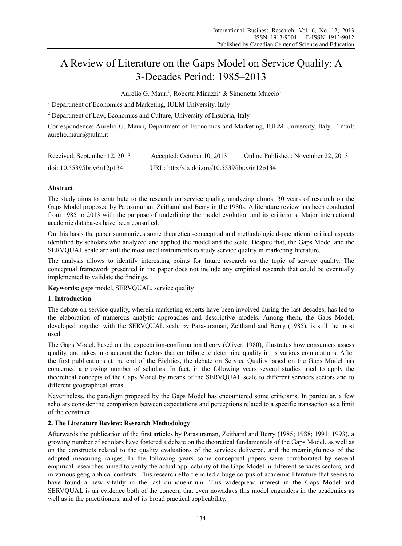# A Review of Literature on the Gaps Model on Service Quality: A 3-Decades Period: 1985–2013

Aurelio G. Mauri<sup>1</sup>, Roberta Minazzi<sup>2</sup> & Simonetta Muccio<sup>1</sup>

<sup>1</sup> Department of Economics and Marketing, IULM University, Italy

 $2^2$  Department of Law, Economics and Culture, University of Insubria, Italy

Correspondence: Aurelio G. Mauri, Department of Economics and Marketing, IULM University, Italy. E-mail: aurelio.mauri@iulm.it

| Received: September 12, 2013  | Accepted: October 10, 2013                   | Online Published: November 22, 2013 |
|-------------------------------|----------------------------------------------|-------------------------------------|
| doi: $10.5539$ /ibr.v6n12p134 | URL: http://dx.doi.org/10.5539/ibr.v6n12p134 |                                     |

# **Abstract**

The study aims to contribute to the research on service quality, analyzing almost 30 years of research on the Gaps Model proposed by Parasuraman, Zeithaml and Berry in the 1980s. A literature review has been conducted from 1985 to 2013 with the purpose of underlining the model evolution and its criticisms. Major international academic databases have been consulted.

On this basis the paper summarizes some theoretical-conceptual and methodological-operational critical aspects identified by scholars who analyzed and applied the model and the scale. Despite that, the Gaps Model and the SERVQUAL scale are still the most used instruments to study service quality in marketing literature.

The analysis allows to identify interesting points for future research on the topic of service quality. The conceptual framework presented in the paper does not include any empirical research that could be eventually implemented to validate the findings.

**Keywords:** gaps model, SERVQUAL, service quality

## **1. Introduction**

The debate on service quality, wherein marketing experts have been involved during the last decades, has led to the elaboration of numerous analytic approaches and descriptive models. Among them, the Gaps Model, developed together with the SERVQUAL scale by Parasuraman, Zeithaml and Berry (1985), is still the most used.

The Gaps Model, based on the expectation-confirmation theory (Oliver, 1980), illustrates how consumers assess quality, and takes into account the factors that contribute to determine quality in its various connotations. After the first publications at the end of the Eighties, the debate on Service Quality based on the Gaps Model has concerned a growing number of scholars. In fact, in the following years several studies tried to apply the theoretical concepts of the Gaps Model by means of the SERVQUAL scale to different services sectors and to different geographical areas.

Nevertheless, the paradigm proposed by the Gaps Model has encountered some criticisms. In particular, a few scholars consider the comparison between expectations and perceptions related to a specific transaction as a limit of the construct.

## **2. The Literature Review: Research Methodology**

Afterwards the publication of the first articles by Parasuraman, Zeithaml and Berry (1985; 1988; 1991; 1993), a growing number of scholars have fostered a debate on the theoretical fundamentals of the Gaps Model, as well as on the constructs related to the quality evaluations of the services delivered, and the meaningfulness of the adopted measuring ranges. In the following years some conceptual papers were corroborated by several empirical researches aimed to verify the actual applicability of the Gaps Model in different services sectors, and in various geographical contexts. This research effort elicited a huge corpus of academic literature that seems to have found a new vitality in the last quinquennium. This widespread interest in the Gaps Model and SERVQUAL is an evidence both of the concern that even nowadays this model engenders in the academics as well as in the practitioners, and of its broad practical applicability.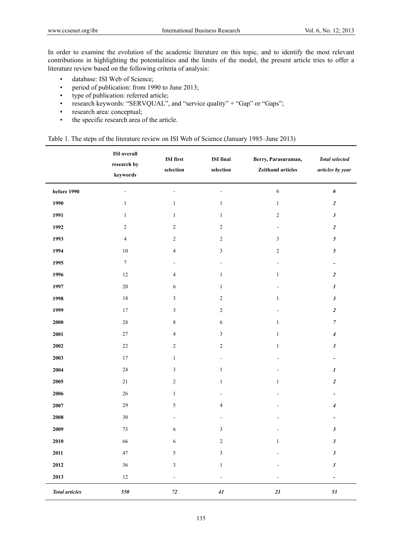In order to examine the evolution of the academic literature on this topic, and to identify the most relevant contributions in highlighting the potentialities and the limits of the model, the present article tries to offer a literature review based on the following criteria of analysis:

- database: ISI Web of Science;
- period of publication: from 1990 to June 2013;
- type of publication: referred article;
- research keywords: "SERVQUAL", and "service quality" + "Gap" or "Gaps";
- research area: conceptual;
- the specific research area of the article.

Table 1. The steps of the literature review on ISI Web of Science (January 1985–June 2013)

|                       | <b>ISI</b> overall<br>research by<br>keywords | $\operatorname{ISI}$ first<br>selection | <b>ISI</b> final<br>selection | Berry, Parasuraman,<br>Zeithaml articles | <b>Total selected</b><br>articles by year |
|-----------------------|-----------------------------------------------|-----------------------------------------|-------------------------------|------------------------------------------|-------------------------------------------|
| before 1990           |                                               |                                         |                               | $\sqrt{6}$                               | 6                                         |
| 1990                  | $\,1\,$                                       | $\mathbf{1}$                            | $\mathbf{1}$                  | $\,1$                                    | $\overline{\mathbf{c}}$                   |
| 1991                  | $\mathbf{1}$                                  | $\mathbf{1}$                            | $\mathbf{1}$                  | $\sqrt{2}$                               | $\boldsymbol{\beta}$                      |
| 1992                  | $\sqrt{2}$                                    | $\sqrt{2}$                              | $\sqrt{2}$                    | $\overline{a}$                           | $\boldsymbol{2}$                          |
| 1993                  | $\sqrt{4}$                                    | $\sqrt{2}$                              | $\sqrt{2}$                    | $\mathfrak{Z}$                           | $\sqrt{s}$                                |
| 1994                  | $10\,$                                        | $\overline{\mathbf{4}}$                 | $\mathfrak{Z}$                | $\sqrt{2}$                               | $\sqrt{s}$                                |
| 1995                  | $\boldsymbol{7}$                              |                                         | ÷.                            |                                          | $\overline{a}$                            |
| 1996                  | $12\,$                                        | $\overline{4}$                          | $\mathbf{1}$                  | $\mathbf{1}$                             | $\boldsymbol{2}$                          |
| 1997                  | $20\,$                                        | 6                                       | $\mathbf{1}$                  |                                          | $\boldsymbol{l}$                          |
| 1998                  | $18\,$                                        | 3                                       | $\sqrt{2}$                    | $\mathbf{1}$                             | $\boldsymbol{\beta}$                      |
| 1999                  | 17                                            | 3                                       | $\sqrt{2}$                    |                                          | $\boldsymbol{2}$                          |
| 2000                  | $28\,$                                        | 8                                       | $\boldsymbol{6}$              | $\mathbf{1}$                             | $\boldsymbol{7}$                          |
| 2001                  | $27\,$                                        | $\sqrt{4}$                              | 3                             | $\mathbf{1}$                             | $\boldsymbol{4}$                          |
| ${\bf 2002}$          | $22\,$                                        | $\overline{c}$                          | $\sqrt{2}$                    | $\mathbf{1}$                             | $\mathfrak{z}$                            |
| 2003                  | $17$                                          | $\mathbf{1}$                            | $\overline{a}$                |                                          |                                           |
| 2004                  | 24                                            | 3                                       | $\mathbf{1}$                  |                                          | $\boldsymbol{l}$                          |
| 2005                  | $21\,$                                        | $\overline{c}$                          | $\mathbf{1}$                  | $\mathbf{1}$                             | $\boldsymbol{2}$                          |
| 2006                  | $26\,$                                        | $\mathbf{1}$                            | ÷,                            |                                          | $\overline{\phantom{a}}$                  |
| 2007                  | 29                                            | 5                                       | $\overline{\mathbf{4}}$       |                                          | 4                                         |
| 2008                  | $30\,$                                        |                                         |                               |                                          |                                           |
| 2009                  | 73                                            | 6                                       | 3                             |                                          | $\boldsymbol{\beta}$                      |
| 2010                  | 66                                            | 6                                       | $\sqrt{2}$                    | $\mathbf{1}$                             | $\mathfrak{z}$                            |
| 2011                  | $47\,$                                        | 5                                       | $\mathfrak{Z}$                |                                          | $\boldsymbol{\beta}$                      |
| 2012                  | 36                                            | 3                                       | $\mathbf{1}$                  |                                          | $\boldsymbol{l}$                          |
| 2013                  | $12\,$                                        | $\overline{a}$                          | $\overline{\phantom{a}}$      |                                          | $\overline{\phantom{a}}$                  |
| <b>Total articles</b> | 550                                           | $\sqrt{72}$                             | $41$                          | $21\,$                                   | 53                                        |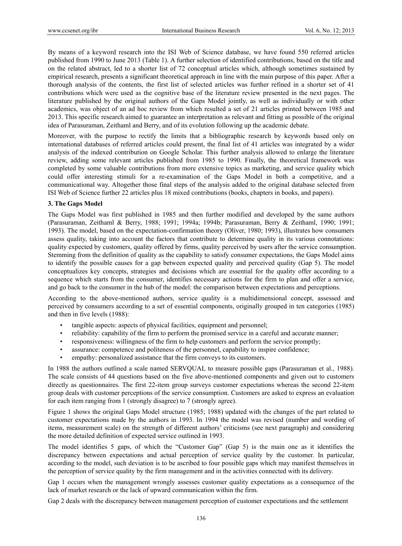By means of a keyword research into the ISI Web of Science database, we have found 550 referred articles published from 1990 to June 2013 (Table 1). A further selection of identified contributions, based on the title and on the related abstract, led to a shorter list of 72 conceptual articles which, although sometimes sustained by empirical research, presents a significant theoretical approach in line with the main purpose of this paper. After a thorough analysis of the contents, the first list of selected articles was further refined in a shorter set of 41 contributions which were used as the cognitive base of the literature review presented in the next pages. The literature published by the original authors of the Gaps Model jointly, as well as individually or with other academics, was object of an ad hoc review from which resulted a set of 21 articles printed between 1985 and 2013. This specific research aimed to guarantee an interpretation as relevant and fitting as possible of the original idea of Parasuraman, Zeithaml and Berry, and of its evolution following up the academic debate.

Moreover, with the purpose to rectify the limits that a bibliographic research by keywords based only on international databases of referred articles could present, the final list of 41 articles was integrated by a wider analysis of the indexed contribution on Google Scholar. This further analysis allowed to enlarge the literature review, adding some relevant articles published from 1985 to 1990. Finally, the theoretical framework was completed by some valuable contributions from more extensive topics as marketing, and service quality which could offer interesting stimuli for a re-examination of the Gaps Model in both a competitive, and a communicational way. Altogether those final steps of the analysis added to the original database selected from ISI Web of Science further 22 articles plus 18 mixed contributions (books, chapters in books, and papers).

## **3. The Gaps Model**

The Gaps Model was first published in 1985 and then further modified and developed by the same authors (Parasuraman, Zeithaml & Berry, 1988; 1991; 1994a; 1994b; Parasuraman, Berry & Zeithaml, 1990; 1991; 1993). The model, based on the expectation-confirmation theory (Oliver, 1980; 1993), illustrates how consumers assess quality, taking into account the factors that contribute to determine quality in its various connotations: quality expected by customers, quality offered by firms, quality perceived by users after the service consumption. Stemming from the definition of quality as the capability to satisfy consumer expectations, the Gaps Model aims to identify the possible causes for a gap between expected quality and perceived quality (Gap 5). The model conceptualizes key concepts, strategies and decisions which are essential for the quality offer according to a sequence which starts from the consumer, identifies necessary actions for the firm to plan and offer a service, and go back to the consumer in the hub of the model: the comparison between expectations and perceptions.

According to the above-mentioned authors, service quality is a multidimensional concept, assessed and perceived by consumers according to a set of essential components, originally grouped in ten categories (1985) and then in five levels (1988):

- tangible aspects: aspects of physical facilities, equipment and personnel;
- reliability: capability of the firm to perform the promised service in a careful and accurate manner;
- responsiveness: willingness of the firm to help customers and perform the service promptly;
- assurance: competence and politeness of the personnel, capability to inspire confidence;
- empathy: personalized assistance that the firm conveys to its customers.

In 1988 the authors outlined a scale named SERVQUAL to measure possible gaps (Parasuraman et al., 1988). The scale consists of 44 questions based on the five above-mentioned components and given out to customers directly as questionnaires. The first 22-item group surveys customer expectations whereas the second 22-item group deals with customer perceptions of the service consumption. Customers are asked to express an evaluation for each item ranging from 1 (strongly disagree) to 7 (strongly agree).

Figure 1 shows the original Gaps Model structure (1985; 1988) updated with the changes of the part related to customer expectations made by the authors in 1993. In 1994 the model was revised (number and wording of items, measurement scale) on the strength of different authors' criticisms (see next paragraph) and considering the more detailed definition of expected service outlined in 1993.

The model identifies 5 gaps, of which the "Customer Gap" (Gap 5) is the main one as it identifies the discrepancy between expectations and actual perception of service quality by the customer. In particular, according to the model, such deviation is to be ascribed to four possible gaps which may manifest themselves in the perception of service quality by the firm management and in the activities connected with its delivery.

Gap 1 occurs when the management wrongly assesses customer quality expectations as a consequence of the lack of market research or the lack of upward communication within the firm.

Gap 2 deals with the discrepancy between management perception of customer expectations and the settlement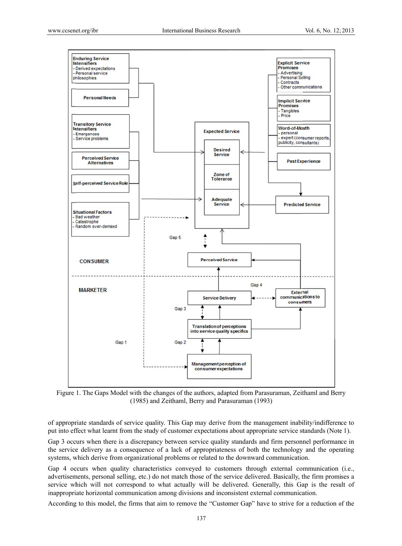

Figure 1. The Gaps Model with the changes of the authors, adapted from Parasuraman, Zeithaml and Berry (1985) and Zeithaml, Berry and Parasuraman (1993)

of appropriate standards of service quality. This Gap may derive from the management inability/indifference to put into effect what learnt from the study of customer expectations about appropriate service standards (Note 1).

Gap 3 occurs when there is a discrepancy between service quality standards and firm personnel performance in the service delivery as a consequence of a lack of appropriateness of both the technology and the operating systems, which derive from organizational problems or related to the downward communication.

Gap 4 occurs when quality characteristics conveyed to customers through external communication (i.e., advertisements, personal selling, etc.) do not match those of the service delivered. Basically, the firm promises a service which will not correspond to what actually will be delivered. Generally, this Gap is the result of inappropriate horizontal communication among divisions and inconsistent external communication.

According to this model, the firms that aim to remove the "Customer Gap" have to strive for a reduction of the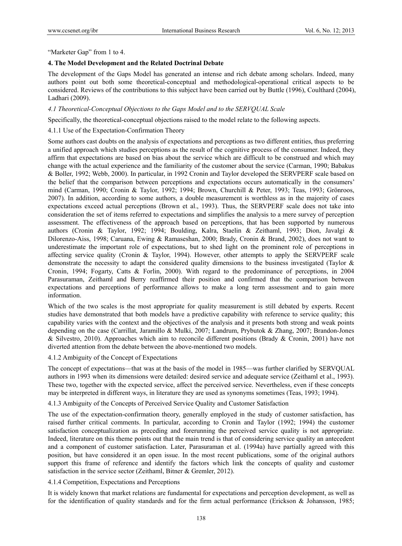# "Marketer Gap" from 1 to 4.

## **4. The Model Development and the Related Doctrinal Debate**

The development of the Gaps Model has generated an intense and rich debate among scholars. Indeed, many authors point out both some theoretical-conceptual and methodological-operational critical aspects to be considered. Reviews of the contributions to this subject have been carried out by Buttle (1996), Coulthard (2004), Ladhari (2009).

## *4.1 Theoretical-Conceptual Objections to the Gaps Model and to the SERVQUAL Scale*

Specifically, the theoretical-conceptual objections raised to the model relate to the following aspects.

# 4.1.1 Use of the Expectation-Confirmation Theory

Some authors cast doubts on the analysis of expectations and perceptions as two different entities, thus preferring a unified approach which studies perceptions as the result of the cognitive process of the consumer. Indeed, they affirm that expectations are based on bias about the service which are difficult to be construed and which may change with the actual experience and the familiarity of the customer about the service (Carman, 1990; Babakus & Boller, 1992; Webb, 2000). In particular, in 1992 Cronin and Taylor developed the SERVPERF scale based on the belief that the comparison between perceptions and expectations occurs automatically in the consumers' mind (Carman, 1990; Cronin & Taylor, 1992; 1994; Brown, Churchill & Peter, 1993; Teas, 1993; Grönroos, 2007). In addition, according to some authors, a double measurement is worthless as in the majority of cases expectations exceed actual perceptions (Brown et al., 1993). Thus, the SERVPERF scale does not take into consideration the set of items referred to expectations and simplifies the analysis to a mere survey of perception assessment. The effectiveness of the approach based on perceptions, that has been supported by numerous authors (Cronin & Taylor, 1992; 1994; Boulding, Kalra, Staelin & Zeithaml, 1993; Dion, Javalgi & Dilorenzo-Aiss, 1998; Caruana, Ewing & Ramaseshan, 2000; Brady, Cronin & Brand, 2002), does not want to underestimate the important role of expectations, but to shed light on the prominent role of perceptions in affecting service quality (Cronin & Taylor, 1994). However, other attempts to apply the SERVPERF scale demonstrate the necessity to adapt the considered quality dimensions to the business investigated (Taylor & Cronin, 1994; Fogarty, Catts & Forlin, 2000). With regard to the predominance of perceptions, in 2004 Parasuraman, Zeithaml and Berry reaffirmed their position and confirmed that the comparison between expectations and perceptions of performance allows to make a long term assessment and to gain more information.

Which of the two scales is the most appropriate for quality measurement is still debated by experts. Recent studies have demonstrated that both models have a predictive capability with reference to service quality; this capability varies with the context and the objectives of the analysis and it presents both strong and weak points depending on the case (Carrillat, Jaramillo & Mulki, 2007; Landrum, Prybutok & Zhang, 2007; Brandon-Jones & Silvestro, 2010). Approaches which aim to reconcile different positions (Brady & Cronin, 2001) have not diverted attention from the debate between the above-mentioned two models.

## 4.1.2 Ambiguity of the Concept of Expectations

The concept of expectations—that was at the basis of the model in 1985—was further clarified by SERVQUAL authors in 1993 when its dimensions were detailed: desired service and adequate service (Zeithaml et al., 1993). These two, together with the expected service, affect the perceived service. Nevertheless, even if these concepts may be interpreted in different ways, in literature they are used as synonyms sometimes (Teas, 1993; 1994).

## 4.1.3 Ambiguity of the Concepts of Perceived Service Quality and Customer Satisfaction

The use of the expectation-confirmation theory, generally employed in the study of customer satisfaction, has raised further critical comments. In particular, according to Cronin and Taylor (1992; 1994) the customer satisfaction conceptualization as preceding and forerunning the perceived service quality is not appropriate. Indeed, literature on this theme points out that the main trend is that of considering service quality an antecedent and a component of customer satisfaction. Later, Parasuraman et al. (1994a) have partially agreed with this position, but have considered it an open issue. In the most recent publications, some of the original authors support this frame of reference and identify the factors which link the concepts of quality and customer satisfaction in the service sector (Zeithaml, Bitner & Gremler, 2012).

## 4.1.4 Competition, Expectations and Perceptions

It is widely known that market relations are fundamental for expectations and perception development, as well as for the identification of quality standards and for the firm actual performance (Erickson & Johansson, 1985;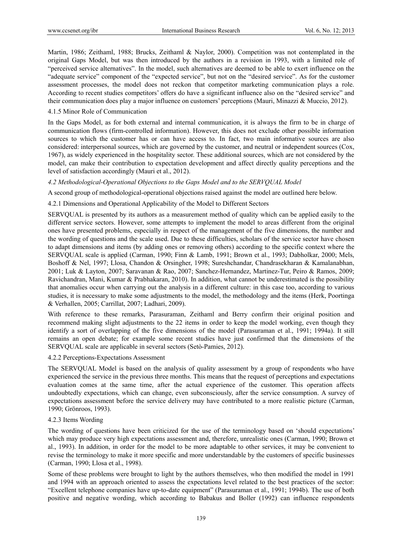Martin, 1986; Zeithaml, 1988; Brucks, Zeithaml & Naylor, 2000). Competition was not contemplated in the original Gaps Model, but was then introduced by the authors in a revision in 1993, with a limited role of "perceived service alternatives". In the model, such alternatives are deemed to be able to exert influence on the "adequate service" component of the "expected service", but not on the "desired service". As for the customer assessment processes, the model does not reckon that competitor marketing communication plays a role. According to recent studies competitors' offers do have a significant influence also on the "desired service" and their communication does play a major influence on customers' perceptions (Mauri, Minazzi & Muccio, 2012).

## 4.1.5 Minor Role of Communication

In the Gaps Model, as for both external and internal communication, it is always the firm to be in charge of communication flows (firm-controlled information). However, this does not exclude other possible information sources to which the customer has or can have access to. In fact, two main informative sources are also considered: interpersonal sources, which are governed by the customer, and neutral or independent sources (Cox, 1967), as widely experienced in the hospitality sector. These additional sources, which are not considered by the model, can make their contribution to expectation development and affect directly quality perceptions and the level of satisfaction accordingly (Mauri et al., 2012).

## *4.2 Methodological-Operational Objections to the Gaps Model and to the SERVQUAL Model*

A second group of methodological-operational objections raised against the model are outlined here below.

4.2.1 Dimensions and Operational Applicability of the Model to Different Sectors

SERVQUAL is presented by its authors as a measurement method of quality which can be applied easily to the different service sectors. However, some attempts to implement the model to areas different from the original ones have presented problems, especially in respect of the management of the five dimensions, the number and the wording of questions and the scale used. Due to these difficulties, scholars of the service sector have chosen to adapt dimensions and items (by adding ones or removing others) according to the specific context where the SERVQUAL scale is applied (Carman, 1990; Finn & Lamb, 1991; Brown et al., 1993; Dabholkar, 2000; Mels, Boshoff & Nel, 1997; Llosa, Chandon & Orsingher, 1998; Sureshchandar, Chandrasekharan & Kamalanabhan, 2001; Luk & Layton, 2007; Saravanan & Rao, 2007; Sanchez-Hernandez, Martinez-Tur, Peiro & Ramos, 2009; Ravichandran, Mani, Kumar & Prabhakaran, 2010). In addition, what cannot be underestimated is the possibility that anomalies occur when carrying out the analysis in a different culture: in this case too, according to various studies, it is necessary to make some adjustments to the model, the methodology and the items (Herk, Poortinga & Verhallen, 2005; Carrillat, 2007; Ladhari, 2009).

With reference to these remarks, Parasuraman, Zeithaml and Berry confirm their original position and recommend making slight adjustments to the 22 items in order to keep the model working, even though they identify a sort of overlapping of the five dimensions of the model (Parasuraman et al., 1991; 1994a). It still remains an open debate; for example some recent studies have just confirmed that the dimensions of the SERVQUAL scale are applicable in several sectors (Setò-Pamies, 2012).

## 4.2.2 Perceptions-Expectations Assessment

The SERVQUAL Model is based on the analysis of quality assessment by a group of respondents who have experienced the service in the previous three months. This means that the request of perceptions and expectations evaluation comes at the same time, after the actual experience of the customer. This operation affects undoubtedly expectations, which can change, even subconsciously, after the service consumption. A survey of expectations assessment before the service delivery may have contributed to a more realistic picture (Carman, 1990; Grönroos, 1993).

## 4.2.3 Items Wording

The wording of questions have been criticized for the use of the terminology based on 'should expectations' which may produce very high expectations assessment and, therefore, unrealistic ones (Carman, 1990; Brown et al., 1993). In addition, in order for the model to be more adaptable to other services, it may be convenient to revise the terminology to make it more specific and more understandable by the customers of specific businesses (Carman, 1990; Llosa et al., 1998).

Some of these problems were brought to light by the authors themselves, who then modified the model in 1991 and 1994 with an approach oriented to assess the expectations level related to the best practices of the sector: "Excellent telephone companies have up-to-date equipment" (Parasuraman et al., 1991; 1994b). The use of both positive and negative wording, which according to Babakus and Boller (1992) can influence respondents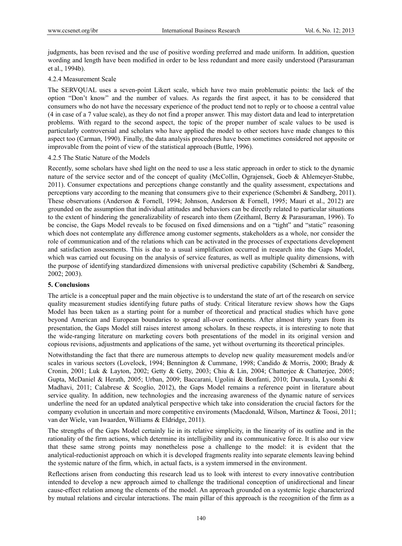judgments, has been revised and the use of positive wording preferred and made uniform. In addition, question wording and length have been modified in order to be less redundant and more easily understood (Parasuraman et al., 1994b).

## 4.2.4 Measurement Scale

The SERVQUAL uses a seven-point Likert scale, which have two main problematic points: the lack of the option "Don't know" and the number of values. As regards the first aspect, it has to be considered that consumers who do not have the necessary experience of the product tend not to reply or to choose a central value (4 in case of a 7 value scale), as they do not find a proper answer. This may distort data and lead to interpretation problems. With regard to the second aspect, the topic of the proper number of scale values to be used is particularly controversial and scholars who have applied the model to other sectors have made changes to this aspect too (Carman, 1990). Finally, the data analysis procedures have been sometimes considered not apposite or improvable from the point of view of the statistical approach (Buttle, 1996).

## 4.2.5 The Static Nature of the Models

Recently, some scholars have shed light on the need to use a less static approach in order to stick to the dynamic nature of the service sector and of the concept of quality (McCollin, Ograjensek, Goeb & Ahlemeyer-Stubbe, 2011). Consumer expectations and perceptions change constantly and the quality assessment, expectations and perceptions vary according to the meaning that consumers give to their experience (Schembri & Sandberg, 2011). These observations (Anderson & Fornell, 1994; Johnson, Anderson & Fornell, 1995; Mauri et al., 2012) are grounded on the assumption that individual attitudes and behaviors can be directly related to particular situations to the extent of hindering the generalizability of research into them (Zeithaml, Berry & Parasuraman, 1996). To be concise, the Gaps Model reveals to be focused on fixed dimensions and on a "tight" and "static" reasoning which does not contemplate any difference among customer segments, stakeholders as a whole, nor consider the role of communication and of the relations which can be activated in the processes of expectations development and satisfaction assessments. This is due to a usual simplification occurred in research into the Gaps Model, which was carried out focusing on the analysis of service features, as well as multiple quality dimensions, with the purpose of identifying standardized dimensions with universal predictive capability (Schembri & Sandberg, 2002; 2003).

## **5. Conclusions**

The article is a conceptual paper and the main objective is to understand the state of art of the research on service quality measurement studies identifying future paths of study. Critical literature review shows how the Gaps Model has been taken as a starting point for a number of theoretical and practical studies which have gone beyond American and European boundaries to spread all-over continents. After almost thirty years from its presentation, the Gaps Model still raises interest among scholars. In these respects, it is interesting to note that the wide-ranging literature on marketing covers both presentations of the model in its original version and copious revisions, adjustments and applications of the same, yet without overturning its theoretical principles.

Notwithstanding the fact that there are numerous attempts to develop new quality measurement models and/or scales in various sectors (Lovelock, 1994; Bennington & Cummane, 1998; Candido & Morris, 2000; Brady & Cronin, 2001; Luk & Layton, 2002; Getty & Getty, 2003; Chiu & Lin, 2004; Chatterjee & Chatterjee, 2005; Gupta, McDaniel & Herath, 2005; Urban, 2009; Baccarani, Ugolini & Bonfanti, 2010; Durvasula, Lysonshi & Madhavi, 2011; Calabrese & Scoglio, 2012), the Gaps Model remains a reference point in literature about service quality. In addition, new technologies and the increasing awareness of the dynamic nature of services underline the need for an updated analytical perspective which take into consideration the crucial factors for the company evolution in uncertain and more competitive enviroments (Macdonald, Wilson, Martinez & Toosi, 2011; van der Wiele, van Iwaarden, Williams & Eldridge, 2011).

The strengths of the Gaps Model certainly lie in its relative simplicity, in the linearity of its outline and in the rationality of the firm actions, which determine its intelligibility and its communicative force. It is also our view that these same strong points may nonetheless pose a challenge to the model: it is evident that the analytical-reductionist approach on which it is developed fragments reality into separate elements leaving behind the systemic nature of the firm, which, in actual facts, is a system immersed in the environment.

Reflections arisen from conducting this research lead us to look with interest to every innovative contribution intended to develop a new approach aimed to challenge the traditional conception of unidirectional and linear cause-effect relation among the elements of the model. An approach grounded on a systemic logic characterized by mutual relations and circular interactions. The main pillar of this approach is the recognition of the firm as a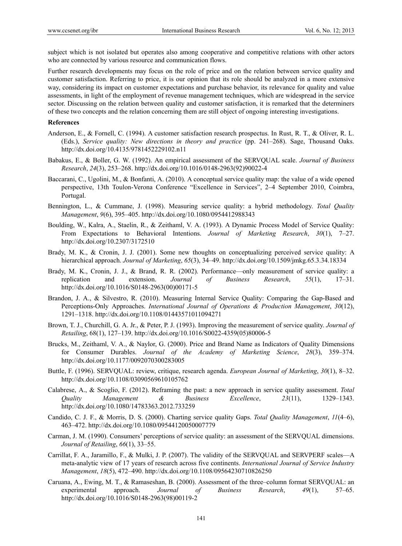subject which is not isolated but operates also among cooperative and competitive relations with other actors who are connected by various resource and communication flows.

Further research developments may focus on the role of price and on the relation between service quality and customer satisfaction. Referring to price, it is our opinion that its role should be analyzed in a more extensive way, considering its impact on customer expectations and purchase behavior, its relevance for quality and value assessments, in light of the employment of revenue management techniques, which are widespread in the service sector. Discussing on the relation between quality and customer satisfaction, it is remarked that the determiners of these two concepts and the relation concerning them are still object of ongoing interesting investigations.

#### **References**

- Anderson, E., & Fornell, C. (1994). A customer satisfaction research prospectus. In Rust, R. T., & Oliver, R. L. (Eds.), *Service quality: New directions in theory and practice* (pp. 241–268). Sage, Thousand Oaks. http://dx.doi.org/10.4135/9781452229102.n11
- Babakus, E., & Boller, G. W. (1992). An empirical assessment of the SERVQUAL scale. *Journal of Business Research*, *24*(3), 253–268. http://dx.doi.org/10.1016/0148-2963(92)90022-4
- Baccarani, C., Ugolini, M., & Bonfanti, A. (2010). A conceptual service quality map: the value of a wide opened perspective, 13th Toulon-Verona Conference "Excellence in Services", 2–4 September 2010, Coimbra, Portugal.
- Bennington, L., & Cummane, J. (1998). Measuring service quality: a hybrid methodology. *Total Quality Management*, *9*(6), 395–405. http://dx.doi.org/10.1080/0954412988343
- Boulding, W., Kalra, A., Staelin, R., & Zeithaml, V. A. (1993). A Dynamic Process Model of Service Quality: From Expectations to Behavioral Intentions. *Journal of Marketing Research*, *30*(1), 7–27. http://dx.doi.org/10.2307/3172510
- Brady, M. K., & Cronin, J. J. (2001). Some new thoughts on conceptualizing perceived service quality: A hierarchical approach. *Journal of Marketing*, *65*(3), 34–49. http://dx.doi.org/10.1509/jmkg.65.3.34.18334
- Brady, M. K., Cronin, J. J., & Brand, R. R. (2002). Performance—only measurement of service quality: a replication and extension. *Journal of Business Research*, *55*(1), 17–31. http://dx.doi.org/10.1016/S0148-2963(00)00171-5
- Brandon, J. A., & Silvestro, R. (2010). Measuring Internal Service Quality: Comparing the Gap-Based and Perceptions-Only Approaches. *International Journal of Operations & Production Management*, *30*(12), 1291–1318. http://dx.doi.org/10.1108/01443571011094271
- Brown, T. J., Churchill, G. A. Jr., & Peter, P. J. (1993). Improving the measurement of service quality. *Journal of Retailing*, 68(1), 127–139. http://dx.doi.org/10.1016/S0022-4359(05)80006-5
- Brucks, M., Zeithaml, V. A., & Naylor, G. (2000). Price and Brand Name as Indicators of Quality Dimensions for Consumer Durables. *Journal of the Academy of Marketing Science*, *28*(3), 359–374. http://dx.doi.org/10.1177/0092070300283005
- Buttle, F. (1996). SERVQUAL: review, critique, research agenda. *European Journal of Marketing*, *30*(1), 8–32. http://dx.doi.org/10.1108/03090569610105762
- Calabrese, A., & Scoglio, F. (2012). Reframing the past: a new approach in service quality assessment. *Total Quality Management & Business Excellence*, *23*(11), 1329–1343. http://dx.doi.org/10.1080/14783363.2012.733259
- Candido, C. J. F., & Morris, D. S. (2000). Charting service quality Gaps. *Total Quality Management*, *11*(4–6), 463–472. http://dx.doi.org/10.1080/09544120050007779
- Carman, J. M. (1990). Consumers' perceptions of service quality: an assessment of the SERVQUAL dimensions. *Journal of Retailing*, *66*(1), 33–55.
- Carrillat, F. A., Jaramillo, F., & Mulki, J. P. (2007). The validity of the SERVQUAL and SERVPERF scales—A meta-analytic view of 17 years of research across five continents. *International Journal of Service Industry Management*, *18*(5), 472–490. http://dx.doi.org/10.1108/09564230710826250
- Caruana, A., Ewing, M. T., & Ramaseshan, B. (2000). Assessment of the three–column format SERVQUAL: an experimental approach. *Journal of Business Research*, *49*(1), 57–65. http://dx.doi.org/10.1016/S0148-2963(98)00119-2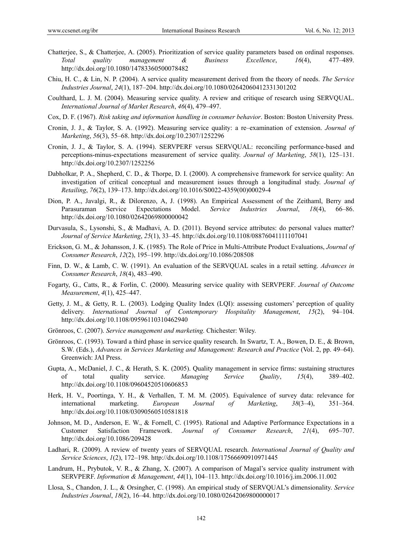- Chatterjee, S., & Chatterjee, A. (2005). Prioritization of service quality parameters based on ordinal responses. *Total quality management & Business Excellence*, *16*(4), 477–489. http://dx.doi.org/10.1080/14783360500078482
- Chiu, H. C., & Lin, N. P. (2004). A service quality measurement derived from the theory of needs. *The Service Industries Journal*, *24*(1), 187–204. http://dx.doi.org/10.1080/02642060412331301202
- Coulthard, L. J. M. (2004). Measuring service quality. A review and critique of research using SERVQUAL. *International Journal of Market Research*, *46*(4), 479–497.
- Cox, D. F. (1967). *Risk taking and information handling in consumer behavior*. Boston: Boston University Press.
- Cronin, J. J., & Taylor, S. A. (1992). Measuring service quality: a re–examination of extension. *Journal of Marketing*, *56*(3), 55–68. http://dx.doi.org/10.2307/1252296
- Cronin, J. J., & Taylor, S. A. (1994). SERVPERF versus SERVQUAL: reconciling performance-based and perceptions-minus-expectations measurement of service quality. *Journal of Marketing*, *58*(1), 125–131. http://dx.doi.org/10.2307/1252256
- Dabholkar, P. A., Shepherd, C. D., & Thorpe, D. I. (2000). A comprehensive framework for service quality: An investigation of critical conceptual and measurement issues through a longitudinal study. *Journal of Retailing*, *76*(2), 139–173. http://dx.doi.org/10.1016/S0022-4359(00)00029-4
- Dion, P. A., Javalgi, R., & Dilorenzo, A, J. (1998). An Empirical Assessment of the Zeithaml, Berry and Parasuraman Service Expectations Model. *Service Industries Journal*, *18*(4), 66–86. http://dx.doi.org/10.1080/02642069800000042
- Durvasula, S., Lysonshi, S., & Madhavi, A. D. (2011). Beyond service attributes: do personal values matter? *Journal of Service Marketing*, *25*(1), 33–45. http://dx.doi.org/10.1108/08876041111107041
- Erickson, G. M., & Johansson, J. K. (1985). The Role of Price in Multi-Attribute Product Evaluations, *Journal of Consumer Research*, *12*(2), 195–199. http://dx.doi.org/10.1086/208508
- Finn, D. W., & Lamb, C. W. (1991). An evaluation of the SERVQUAL scales in a retail setting. *Advances in Consumer Research*, *18*(4), 483–490.
- Fogarty, G., Catts, R., & Forlin, C. (2000). Measuring service quality with SERVPERF. *Journal of Outcome Measurement*, *4*(1), 425–447.
- Getty, J. M., & Getty, R. L. (2003). Lodging Quality Index (LQI): assessing customers' perception of quality delivery. *International Journal of Contemporary Hospitality Management*, *15*(2), 94–104. http://dx.doi.org/10.1108/09596110310462940
- Grönroos, C. (2007). *Service management and marketing.* Chichester: Wiley.
- Grönroos, C. (1993). Toward a third phase in service quality research. In Swartz, T. A., Bowen, D. E., & Brown, S.W. (Eds.), *Advances in Services Marketing and Management: Research and Practice* (Vol. 2, pp. 49–64). Greenwich: JAI Press.
- Gupta, A., McDaniel, J. C., & Herath, S. K. (2005). Quality management in service firms: sustaining structures of total quality service. *Managing Service Quality*, *15*(4), 389–402. http://dx.doi.org/10.1108/09604520510606853
- Herk, H. V., Poortinga, Y. H., & Verhallen, T. M. M. (2005). Equivalence of survey data: relevance for international marketing. *European Journal of Marketing*, *38*(3–4), 351–364. http://dx.doi.org/10.1108/03090560510581818
- Johnson, M. D., Anderson, E. W., & Fornell, C. (1995). Rational and Adaptive Performance Expectations in a Customer Satisfaction Framework. *Journal of Consumer Research*, *21*(4), 695–707. http://dx.doi.org/10.1086/209428
- Ladhari, R. (2009). A review of twenty years of SERVQUAL research. *International Journal of Quality and Service Sciences*, *1*(2), 172–198. http://dx.doi.org/10.1108/17566690910971445
- Landrum, H., Prybutok, V. R., & Zhang, X. (2007). A comparison of Magal's service quality instrument with SERVPERF. *Information & Management*, *44*(1), 104–113. http://dx.doi.org/10.1016/j.im.2006.11.002
- Llosa, S., Chandon, J. L., & Orsingher, C. (1998). An empirical study of SERVQUAL's dimensionality. *Service Industries Journal*, *18*(2), 16–44. http://dx.doi.org/10.1080/02642069800000017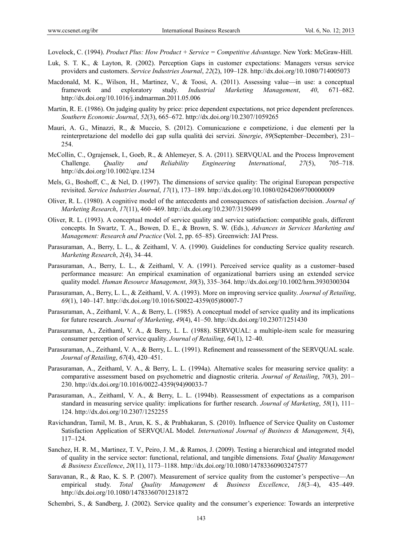Lovelock, C. (1994). *Product Plus: How Product + Service = Competitive Advantage*. New York: McGraw-Hill.

- Luk, S. T. K., & Layton, R. (2002). Perception Gaps in customer expectations: Managers versus service providers and customers. *Service Industries Journal*, *22*(2), 109–128. http://dx.doi.org/10.1080/714005073
- Macdonald, M. K., Wilson, H., Martinez, V., & Toosi, A. (2011). Assessing value—in use: a conceptual framework and exploratory study. *Industrial Marketing Management*, *40*, 671–682. http://dx.doi.org/10.1016/j.indmarman.2011.05.006
- Martin, R. E. (1986). On judging quality by price: price dependent expectations, not price dependent preferences. *Southern Economic Journal*, *52*(3), 665–672. http://dx.doi.org/10.2307/1059265
- Mauri, A. G., Minazzi, R., & Muccio, S. (2012). Comunicazione e competizione, i due elementi per la reinterpretazione del modello dei gap sulla qualità dei servizi. *Sinergie*, *89*(September–December), 231– 254.
- McCollin, C., Ograjensek, I., Goeb, R., & Ahlemeyer, S. A. (2011). SERVQUAL and the Process Improvement Challenge. *Quality and Reliability Engineering International*, *27*(5), 705–718. http://dx.doi.org/10.1002/qre.1234
- Mels, G., Boshoff, C., & Nel, D. (1997). The dimensions of service quality: The original European perspective revisited. *Service Industries Journal*, *17*(1), 173–189. http://dx.doi.org/10.1080/02642069700000009
- Oliver, R. L. (1980). A cognitive model of the antecedents and consequences of satisfaction decision. *Journal of Marketing Research*, *17*(11), 460–469. http://dx.doi.org/10.2307/3150499
- Oliver, R. L. (1993). A conceptual model of service quality and service satisfaction: compatible goals, different concepts. In Swartz, T. A., Bowen, D. E., & Brown, S. W. (Eds.), *Advances in Services Marketing and Management: Research and Practice* (Vol. 2, pp. 65–85). Greenwich: JAI Press.
- Parasuraman, A., Berry, L. L., & Zeithaml, V. A. (1990). Guidelines for conducting Service quality research. *Marketing Research*, *2*(4), 34–44.
- Parasuraman, A., Berry, L. L., & Zeithaml, V. A. (1991). Perceived service quality as a customer–based performance measure: An empirical examination of organizational barriers using an extended service quality model. *Human Resource Management*, *30*(3), 335–364. http://dx.doi.org/10.1002/hrm.3930300304
- Parasuraman, A., Berry, L. L., & Zeithaml, V. A. (1993). More on improving service quality. *Journal of Retailing*, *69*(1), 140–147. http://dx.doi.org/10.1016/S0022-4359(05)80007-7
- Parasuraman, A., Zeithaml, V. A., & Berry, L. (1985). A conceptual model of service quality and its implications for future research. *Journal of Marketing*, *49*(4), 41–50. http://dx.doi.org/10.2307/1251430
- Parasuraman, A., Zeithaml, V. A., & Berry, L. L. (1988). SERVQUAL: a multiple-item scale for measuring consumer perception of service quality. *Journal of Retailing*, *64*(1), 12–40.
- Parasuraman, A., Zeithaml, V. A., & Berry, L. L. (1991). Refinement and reassessment of the SERVQUAL scale. *Journal of Retailing*, *67*(4), 420–451.
- Parasuraman, A., Zeithaml, V. A., & Berry, L. L. (1994a). Alternative scales for measuring service quality: a comparative assessment based on psychometric and diagnostic criteria. *Journal of Retailing*, *70*(3), 201– 230. http://dx.doi.org/10.1016/0022-4359(94)90033-7
- Parasuraman, A., Zeithaml, V. A., & Berry, L. L. (1994b). Reassessment of expectations as a comparison standard in measuring service quality: implications for further research. *Journal of Marketing*, *58*(1), 111– 124. http://dx.doi.org/10.2307/1252255
- Ravichandran, Tamil, M. B., Arun, K. S., & Prabhakaran, S. (2010). Influence of Service Quality on Customer Satisfaction Application of SERVQUAL Model. *International Journal of Business & Management*, *5*(4), 117–124.
- Sanchez, H. R. M., Martinez, T. V., Peiro, J. M., & Ramos, J. (2009). Testing a hierarchical and integrated model of quality in the service sector: functional, relational, and tangible dimensions. *Total Quality Management & Business Excellence*, *20*(11), 1173–1188. http://dx.doi.org/10.1080/14783360903247577
- Saravanan, R., & Rao, K. S. P. (2007). Measurement of service quality from the customer's perspective—An empirical study. *Total Quality Management & Business Excellence*, *18*(3–4), 435–449. http://dx.doi.org/10.1080/14783360701231872
- Schembri, S., & Sandberg, J. (2002). Service quality and the consumer's experience: Towards an interpretive